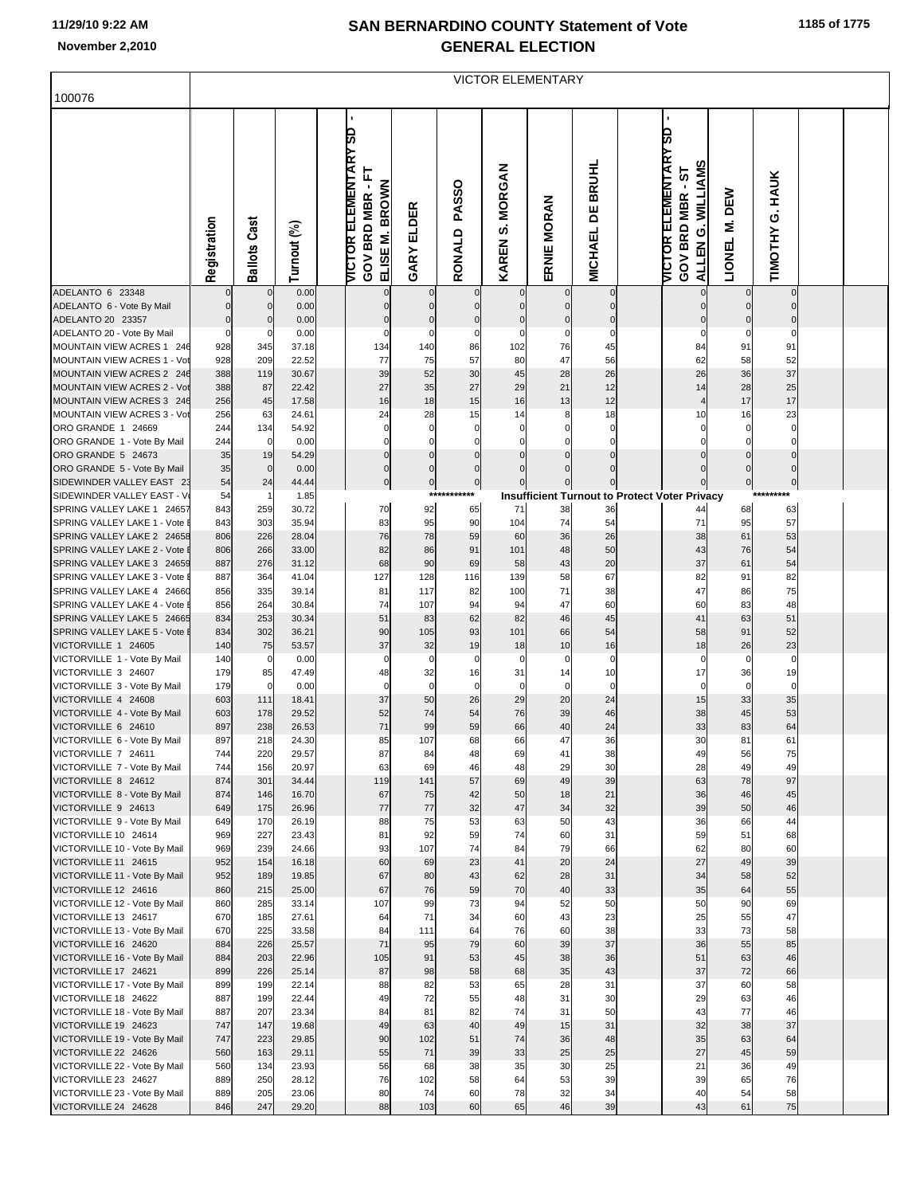| 100076                                                      | <b>VICTOR ELEMENTARY</b> |                   |                |  |                                                                          |                            |                        |                                            |                   |                                     |  |                                                                                                |                    |                           |  |  |
|-------------------------------------------------------------|--------------------------|-------------------|----------------|--|--------------------------------------------------------------------------|----------------------------|------------------------|--------------------------------------------|-------------------|-------------------------------------|--|------------------------------------------------------------------------------------------------|--------------------|---------------------------|--|--|
|                                                             | Registration             | Ballots Cast      | Turnout (%)    |  | <b>VICTOR ELEMENTARY SD</b><br>Ļ<br>ELISE M. BROWN<br><b>GOV BRD MBR</b> | ELDER<br>GARY              | <b>PASSO</b><br>RONALD | <b>MORGAN</b><br><b>vi</b><br><b>KAREN</b> | ERNIE MORAN       | <b>BRUHL</b><br>님<br><b>MICHAEL</b> |  | <b>VICTOR ELEMENTARY SD</b><br><b>WILLIAMS</b><br>5<br><b>GOV BRD MBR</b><br>Ö<br><b>ALLEN</b> | DEW<br>Σ<br>LIONEL | <b>HAUK</b><br>TIMOTHY G. |  |  |
| ADELANTO 6 23348<br>ADELANTO 6 - Vote By Mail               | $\mathbf 0$              | 0<br>$\mathbf{0}$ | 0.00<br>0.00   |  | 0                                                                        | $\mathbf 0$<br>$\mathbf 0$ | $\mathbf 0$            | $\overline{0}$                             | $\mathbf 0$       | $\overline{0}$<br>$\overline{0}$    |  | $\overline{0}$<br>0                                                                            | $\mathbf 0$        | 0<br>$\mathbf 0$          |  |  |
| ADELANTO 20 23357                                           | $\bf 0$                  | 0                 | 0.00           |  | $\mathbf 0$                                                              | $\pmb{0}$                  | $\mathbf 0$            | $\mathbf 0$                                | $\mathbf 0$       | $\overline{0}$                      |  |                                                                                                | $\mathbf 0$        | $\mathbf 0$               |  |  |
| ADELANTO 20 - Vote By Mail<br>MOUNTAIN VIEW ACRES 1 246     | $\mathbf 0$              | 0                 | 0.00           |  | $\mathbf 0$                                                              | $\mathbf 0$                | 0<br>86                | $\mathbf 0$                                | 0<br>76           | $\mathbf 0$                         |  | 0                                                                                              | $\mathbf 0$<br>91  | $\mathbf 0$               |  |  |
| MOUNTAIN VIEW ACRES 1 - Vot                                 | 928<br>928               | 345<br>209        | 37.18<br>22.52 |  | 134<br>77                                                                | 140<br>75                  | 57                     | 102<br>80                                  | 47                | 45<br>56                            |  | 84<br>62                                                                                       | 58                 | 91<br>52                  |  |  |
| MOUNTAIN VIEW ACRES 2 246                                   | 388                      | 119               | 30.67          |  | 39                                                                       | 52                         | 30                     | 45                                         | 28                | 26                                  |  | 26                                                                                             | 36                 | 37                        |  |  |
| MOUNTAIN VIEW ACRES 2 - Vot                                 | 388                      | 87                | 22.42          |  | 27                                                                       | 35                         | 27                     | 29                                         | 21                | 12                                  |  | 14                                                                                             | 28                 | 25                        |  |  |
| MOUNTAIN VIEW ACRES 3 246<br>MOUNTAIN VIEW ACRES 3 - Vot    | 256<br>256               | 45<br>63          | 17.58<br>24.61 |  | 16<br>24                                                                 | 18<br>28                   | 15<br>15               | 16<br>14                                   | 13<br>8           | 12<br>18                            |  | 4<br>10                                                                                        | 17<br>16           | 17<br>23                  |  |  |
| ORO GRANDE 1 24669                                          | 244                      | 134               | 54.92          |  | $\mathbf 0$                                                              | $\mathbf 0$                | 0                      | 0                                          | 0                 | 0                                   |  | 0                                                                                              | 0                  | 0                         |  |  |
| ORO GRANDE 1 - Vote By Mail                                 | 244                      | 0                 | 0.00           |  | $\Omega$                                                                 | $\Omega$                   |                        | $\mathbf 0$                                |                   | 0                                   |  | 0                                                                                              | $\Omega$           | 0                         |  |  |
| ORO GRANDE 5 24673                                          | 35                       | 19                | 54.29          |  | $\pmb{0}$                                                                | $\mathbf 0$                | $\overline{0}$         | $\mathbf 0$                                | $\mathbf 0$       | $\overline{0}$                      |  | $\mathbf 0$                                                                                    | $\pmb{0}$          | 0                         |  |  |
| ORO GRANDE 5 - Vote By Mail                                 | 35                       | $\mathbf 0$       | 0.00           |  | $\mathbf 0$                                                              | $\mathbf 0$                | $\mathbf 0$            | $\mathbf 0$                                |                   | $\mathbf{0}$                        |  | 0                                                                                              | $\overline{0}$     | $\overline{0}$            |  |  |
| SIDEWINDER VALLEY EAST 23<br>SIDEWINDER VALLEY EAST - V     | 54<br>54                 | 24                | 44.44<br>1.85  |  | $\bf 0$                                                                  | $\overline{0}$<br>***      | $\pmb{0}$<br>*****     | $\overline{0}$                             | $\Omega$          | $\overline{0}$                      |  | <b>Insufficient Turnout to Protect Voter Privacy</b>                                           | $\overline{0}$     | $\overline{0}$            |  |  |
| SPRING VALLEY LAKE 1 24657                                  | 843                      | 259               | 30.72          |  | 70                                                                       | 92                         | 65                     | 71                                         | 38                | 36                                  |  | 44                                                                                             | 68                 | 63                        |  |  |
| SPRING VALLEY LAKE 1 - Vote                                 | 843                      | 303               | 35.94          |  | 83                                                                       | 95                         | 90                     | 104                                        | 74                | 54                                  |  | 71                                                                                             | 95                 | 57                        |  |  |
| SPRING VALLEY LAKE 2 24658                                  | 806                      | 226               | 28.04          |  | 76                                                                       | 78                         | 59                     | 60                                         | 36                | 26<br>50                            |  | 38<br>43                                                                                       | 61<br>76           | 53                        |  |  |
| SPRING VALLEY LAKE 2 - Vote I<br>SPRING VALLEY LAKE 3 24659 | 806<br>887               | 266<br>276        | 33.00<br>31.12 |  | 82<br>68                                                                 | 86<br>90                   | 91<br>69               | 101<br>58                                  | 48<br>43          | 20                                  |  | 37                                                                                             | 61                 | 54<br>54                  |  |  |
| SPRING VALLEY LAKE 3 - Vote I                               | 887                      | 364               | 41.04          |  | 127                                                                      | 128                        | 116                    | 139                                        | 58                | 67                                  |  | 82                                                                                             | 91                 | 82                        |  |  |
| SPRING VALLEY LAKE 4 24660                                  | 856                      | 335               | 39.14          |  | 81                                                                       | 117                        | 82                     | 100                                        | 71                | 38                                  |  | 47                                                                                             | 86                 | 75                        |  |  |
| SPRING VALLEY LAKE 4 - Vote I<br>SPRING VALLEY LAKE 5 24665 | 856<br>834               | 264<br>253        | 30.84          |  | 74<br>51                                                                 | 107<br>83                  | 94<br>62               | 94<br>82                                   | 47<br>46          | 60<br>45                            |  | 60<br>41                                                                                       | 83<br>63           | 48<br>51                  |  |  |
| SPRING VALLEY LAKE 5 - Vote I                               | 834                      | 302               | 30.34<br>36.21 |  | 90                                                                       | 105                        | 93                     | 101                                        | 66                | 54                                  |  | 58                                                                                             | 91                 | 52                        |  |  |
| VICTORVILLE 1 24605                                         | 140                      | 75                | 53.57          |  | 37                                                                       | 32                         | 19                     | 18                                         | 10                | 16                                  |  | 18                                                                                             | 26                 | 23                        |  |  |
| VICTORVILLE 1 - Vote By Mail                                | 140                      | 0                 | 0.00           |  | $\mathbf 0$                                                              | $\mathbf 0$                | $\mathbf 0$            | $\mathbf 0$                                | 0                 | $\pmb{0}$                           |  | $\mathbf 0$                                                                                    | $\mathbf 0$        | $\mathbf 0$               |  |  |
| VICTORVILLE 3 24607<br>VICTORVILLE 3 - Vote By Mail         | 179<br>179               | 85<br>0           | 47.49<br>0.00  |  | 48<br>$\mathbf 0$                                                        | 32<br>$\mathbf 0$          | 16<br>$\mathbf 0$      | 31<br>$\mathbf 0$                          | 14<br>$\mathbf 0$ | 10<br>$\mathbf 0$                   |  | 17<br>$\mathbf 0$                                                                              | 36<br>$\mathbf 0$  | 19<br>$\mathbf 0$         |  |  |
| VICTORVILLE 4 24608                                         | 603                      | 111               | 18.41          |  | 37                                                                       | 50                         | 26                     | 29                                         | 20                | 24                                  |  | 15                                                                                             | 33                 | 35                        |  |  |
| VICTORVILLE 4 - Vote By Mail                                | 603                      | 178               | 29.52          |  | 52                                                                       | 74                         | 54                     | 76                                         | 39                | 46                                  |  | 38                                                                                             | 45                 | 53                        |  |  |
| VICTORVILLE 6 24610                                         | 897                      | 238               | 26.53          |  | 71                                                                       | 99                         | 59                     | 66                                         | 40                | 24                                  |  | 33                                                                                             | 83                 | 64                        |  |  |
| VICTORVILLE 6 - Vote By Mail<br>VICTORVILLE 7 24611         | 897<br>744               | 218<br>220        | 24.30<br>29.57 |  | 85<br>87                                                                 | 107<br>84                  | 68<br>48               | 66<br>69                                   | 47<br>41          | 36<br>38                            |  | 30<br>49                                                                                       | 81<br>56           | 61<br>75                  |  |  |
| VICTORVILLE 7 - Vote By Mail                                | 744                      | 156               | 20.97          |  | 63                                                                       | 69                         | 46                     | 48                                         | 29                | 30                                  |  | 28                                                                                             | 49                 | 49                        |  |  |
| VICTORVILLE 8 24612                                         | 874                      | 301               | 34.44          |  | 119                                                                      | 141                        | 57                     | 69                                         | 49                | 39                                  |  | 63                                                                                             | 78                 | 97                        |  |  |
| VICTORVILLE 8 - Vote By Mail<br>VICTORVILLE 9 24613         | 874<br>649               | 146<br>175        | 16.70<br>26.96 |  | 67<br>77                                                                 | 75<br>77                   | 42<br>32               | 50<br>47                                   | 18<br>34          | 21<br>32                            |  | 36<br>39                                                                                       | 46<br>50           | 45<br>46                  |  |  |
| VICTORVILLE 9 - Vote By Mail                                | 649                      | 170               | 26.19          |  | 88                                                                       | 75                         | 53                     | 63                                         | 50                | 43                                  |  | 36                                                                                             | 66                 | 44                        |  |  |
| VICTORVILLE 10 24614                                        | 969                      | 227               | 23.43          |  | 81                                                                       | 92                         | 59                     | 74                                         | 60                | 31                                  |  | 59                                                                                             | 51                 | 68                        |  |  |
| VICTORVILLE 10 - Vote By Mail                               | 969                      | 239               | 24.66          |  | 93                                                                       | 107                        | 74                     | 84                                         | 79                | 66                                  |  | 62                                                                                             | 80                 | 60                        |  |  |
| VICTORVILLE 11 24615<br>VICTORVILLE 11 - Vote By Mail       | 952<br>952               | 154<br>189        | 16.18<br>19.85 |  | 60<br>67                                                                 | 69<br>80                   | 23<br>43               | 41<br>62                                   | 20<br>28          | 24<br>31                            |  | 27<br>34                                                                                       | 49<br>58           | 39<br>52                  |  |  |
| VICTORVILLE 12 24616                                        | 860                      | 215               | 25.00          |  | 67                                                                       | 76                         | 59                     | 70                                         | 40                | 33                                  |  | 35                                                                                             | 64                 | 55                        |  |  |
| VICTORVILLE 12 - Vote By Mail                               | 860                      | 285               | 33.14          |  | 107                                                                      | 99                         | 73                     | 94                                         | 52                | 50                                  |  | 50                                                                                             | 90                 | 69                        |  |  |
| VICTORVILLE 13 24617                                        | 670                      | 185               | 27.61          |  | 64                                                                       | 71                         | 34                     | 60                                         | 43                | 23                                  |  | 25                                                                                             | 55                 | 47                        |  |  |
| VICTORVILLE 13 - Vote By Mail<br>VICTORVILLE 16 24620       | 670<br>884               | 225<br>226        | 33.58<br>25.57 |  | 84<br>71                                                                 | 111<br>95                  | 64<br>79               | 76<br>60                                   | 60<br>39          | 38<br>37                            |  | 33<br>36                                                                                       | 73<br>55           | 58<br>85                  |  |  |
| VICTORVILLE 16 - Vote By Mail                               | 884                      | 203               | 22.96          |  | 105                                                                      | 91                         | 53                     | 45                                         | 38                | 36                                  |  | 51                                                                                             | 63                 | 46                        |  |  |
| VICTORVILLE 17 24621                                        | 899                      | 226               | 25.14          |  | 87                                                                       | 98                         | 58                     | 68                                         | 35                | 43                                  |  | 37                                                                                             | 72                 | 66                        |  |  |
| VICTORVILLE 17 - Vote By Mail                               | 899                      | 199               | 22.14          |  | 88                                                                       | 82                         | 53                     | 65                                         | 28                | 31                                  |  | 37                                                                                             | 60                 | 58                        |  |  |
| VICTORVILLE 18 24622<br>VICTORVILLE 18 - Vote By Mail       | 887<br>887               | 199<br>207        | 22.44<br>23.34 |  | 49<br>84                                                                 | 72<br>81                   | 55<br>82               | 48<br>74                                   | 31<br>31          | 30<br>50                            |  | 29<br>43                                                                                       | 63<br>77           | 46<br>46                  |  |  |
| VICTORVILLE 19 24623                                        | 747                      | 147               | 19.68          |  | 49                                                                       | 63                         | 40                     | 49                                         | 15                | 31                                  |  | 32                                                                                             | 38                 | 37                        |  |  |
| VICTORVILLE 19 - Vote By Mail                               | 747                      | 223               | 29.85          |  | 90                                                                       | 102                        | 51                     | 74                                         | 36                | 48                                  |  | 35                                                                                             | 63                 | 64                        |  |  |
| VICTORVILLE 22 24626                                        | 560                      | 163               | 29.11          |  | 55                                                                       | 71                         | 39                     | 33                                         | 25                | 25                                  |  | 27                                                                                             | 45                 | 59                        |  |  |
| VICTORVILLE 22 - Vote By Mail<br>VICTORVILLE 23 24627       | 560<br>889               | 134<br>250        | 23.93<br>28.12 |  | 56<br>76                                                                 | 68<br>102                  | 38<br>58               | 35<br>64                                   | 30<br>53          | 25<br>39                            |  | 21<br>39                                                                                       | 36<br>65           | 49<br>76                  |  |  |
| VICTORVILLE 23 - Vote By Mail                               | 889                      | 205               | 23.06          |  | 80                                                                       | 74                         | 60                     | 78                                         | 32                | 34                                  |  | 40                                                                                             | 54                 | 58                        |  |  |
| VICTORVILLE 24 24628                                        | 846                      | 247               | 29.20          |  | 88                                                                       | 103                        | 60                     | 65                                         | 46                | 39                                  |  | 43                                                                                             | 61                 | 75                        |  |  |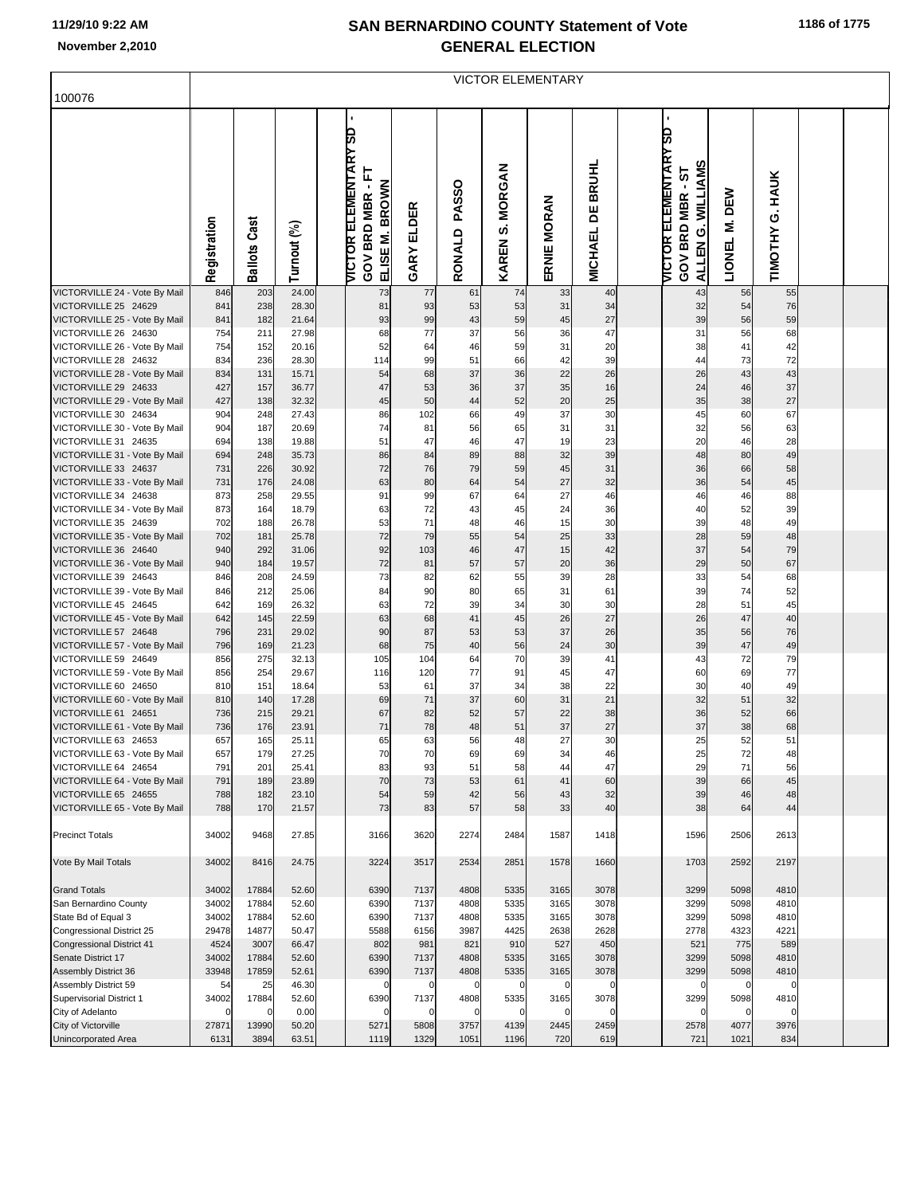| 1186 of 1775 |  |
|--------------|--|
|--------------|--|

|                                                        | <b>VICTOR ELEMENTARY</b> |                     |                |                                                             |                                               |                        |                                     |             |                                     |  |                                                                                                                  |                           |                 |  |  |
|--------------------------------------------------------|--------------------------|---------------------|----------------|-------------------------------------------------------------|-----------------------------------------------|------------------------|-------------------------------------|-------------|-------------------------------------|--|------------------------------------------------------------------------------------------------------------------|---------------------------|-----------------|--|--|
| 100076                                                 |                          |                     |                |                                                             |                                               |                        |                                     |             |                                     |  |                                                                                                                  |                           |                 |  |  |
|                                                        | Registration             | <b>Ballots Cast</b> | Turnout (%)    | ٠<br><b>VICTOR ELEMENTARY SD</b><br>Ë<br><b>GOV BRD MBR</b> | <b>BROWN</b><br><b>GARY ELDER</b><br>ELISE M. | <b>PASSO</b><br>RONALD | <b>MORGAN</b><br>s,<br><b>KAREN</b> | ERNIE MORAN | <b>BRUHL</b><br>뷤<br><b>MICHAEL</b> |  | <b>VICTOR ELEMENTARY SD</b><br><b>WILLIAMS</b><br>5<br>$\blacksquare$<br><b>GOV BRD MBR</b><br>ώ<br><b>ALLEN</b> | DEW<br>Ż<br><b>LIONEL</b> | TIMOTHY G. HAUK |  |  |
| VICTORVILLE 24 - Vote By Mail<br>VICTORVILLE 25 24629  | 846<br>841               | 203<br>238          | 24.00<br>28.30 |                                                             | 73<br>77<br>93<br>81                          | 61<br>53               | 74<br>53                            | 33<br>31    | 40<br>34                            |  | 43<br>32                                                                                                         | 56<br>54                  | 55<br>76        |  |  |
| VICTORVILLE 25 - Vote By Mail                          | 841                      | 182                 | 21.64          |                                                             | 93<br>99                                      | 43                     | 59                                  | 45          | 27                                  |  | 39                                                                                                               | 56                        | 59              |  |  |
| VICTORVILLE 26 24630                                   | 754                      | 211                 | 27.98          |                                                             | 68<br>77                                      | 37                     | 56                                  | 36          | 47                                  |  | 31                                                                                                               | 56                        | 68              |  |  |
| VICTORVILLE 26 - Vote By Mail                          | 754                      | 152                 | 20.16          |                                                             | 52<br>64                                      | 46                     | 59                                  | 31          | 20                                  |  | 38                                                                                                               | 41                        | 42              |  |  |
| VICTORVILLE 28 24632                                   | 834                      | 236                 | 28.30          | 114                                                         | 99                                            | 51                     | 66                                  | 42          | 39                                  |  | 44                                                                                                               | 73                        | 72              |  |  |
| VICTORVILLE 28 - Vote By Mail                          | 834                      | 131                 | 15.71          |                                                             | 68<br>54                                      | 37                     | 36                                  | 22          | 26                                  |  | 26                                                                                                               | 43                        | 43              |  |  |
| VICTORVILLE 29 24633                                   | 427                      | 157                 | 36.77          |                                                             | 47<br>53                                      | 36                     | 37                                  | 35          | 16                                  |  | 24                                                                                                               | 46                        | 37              |  |  |
| VICTORVILLE 29 - Vote By Mail                          | 427                      | 138                 | 32.32          |                                                             | 45<br>50                                      | 44                     | 52                                  | 20          | 25                                  |  | 35                                                                                                               | 38                        | 27              |  |  |
| VICTORVILLE 30 24634<br>VICTORVILLE 30 - Vote By Mail  | 904<br>904               | 248<br>187          | 27.43<br>20.69 |                                                             | 86<br>102<br>74<br>81                         | 66<br>56               | 49<br>65                            | 37<br>31    | 30<br>31                            |  | 45<br>32                                                                                                         | 60<br>56                  | 67<br>63        |  |  |
| VICTORVILLE 31 24635                                   | 694                      | 138                 | 19.88          |                                                             | 51<br>47                                      | 46                     | 47                                  | 19          | 23                                  |  | 20                                                                                                               | 46                        | 28              |  |  |
| VICTORVILLE 31 - Vote By Mail                          | 694                      | 248                 | 35.73          |                                                             | 86<br>84                                      | 89                     | 88                                  | 32          | 39                                  |  | 48                                                                                                               | 80                        | 49              |  |  |
| VICTORVILLE 33 24637                                   | 731                      | 226                 | 30.92          |                                                             | 72<br>76                                      | 79                     | 59                                  | 45          | 31                                  |  | 36                                                                                                               | 66                        | 58              |  |  |
| VICTORVILLE 33 - Vote By Mail                          | 731                      | 176                 | 24.08          |                                                             | 63<br>80                                      | 64                     | 54                                  | 27          | 32                                  |  | 36                                                                                                               | 54                        | 45              |  |  |
| VICTORVILLE 34 24638                                   | 873                      | 258                 | 29.55          |                                                             | 91<br>99                                      | 67                     | 64                                  | 27          | 46                                  |  | 46                                                                                                               | 46                        | 88              |  |  |
| VICTORVILLE 34 - Vote By Mail                          | 873                      | 164                 | 18.79          |                                                             | 63<br>72                                      | 43                     | 45                                  | 24          | 36                                  |  | 40                                                                                                               | 52                        | 39              |  |  |
| VICTORVILLE 35 24639                                   | 702                      | 188                 | 26.78          |                                                             | 53<br>71                                      | 48                     | 46                                  | 15          | 30                                  |  | 39                                                                                                               | 48                        | 49              |  |  |
| VICTORVILLE 35 - Vote By Mail<br>VICTORVILLE 36 24640  | 702<br>940               | 181<br>292          | 25.78<br>31.06 |                                                             | 72<br>79<br>92<br>103                         | 55<br>46               | 54<br>47                            | 25<br>15    | 33<br>42                            |  | 28<br>37                                                                                                         | 59<br>54                  | 48<br>79        |  |  |
| VICTORVILLE 36 - Vote By Mail                          | 940                      | 184                 | 19.57          |                                                             | 72<br>81                                      | 57                     | 57                                  | 20          | 36                                  |  | 29                                                                                                               | 50                        | 67              |  |  |
| VICTORVILLE 39 24643                                   | 846                      | 208                 | 24.59          |                                                             | 73<br>82                                      | 62                     | 55                                  | 39          | 28                                  |  | 33                                                                                                               | 54                        | 68              |  |  |
| VICTORVILLE 39 - Vote By Mail                          | 846                      | 212                 | 25.06          |                                                             | 90<br>84                                      | 80                     | 65                                  | 31          | 61                                  |  | 39                                                                                                               | 74                        | 52              |  |  |
| VICTORVILLE 45 24645                                   | 642                      | 169                 | 26.32          |                                                             | 63<br>72                                      | 39                     | 34                                  | 30          | 30                                  |  | 28                                                                                                               | 51                        | 45              |  |  |
| VICTORVILLE 45 - Vote By Mail                          | 642                      | 145                 | 22.59          |                                                             | 63<br>68                                      | 41                     | 45                                  | 26          | 27                                  |  | 26                                                                                                               | 47                        | 40              |  |  |
| VICTORVILLE 57 24648                                   | 796                      | 231                 | 29.02          |                                                             | 90<br>87                                      | 53                     | 53                                  | 37          | 26                                  |  | 35                                                                                                               | 56                        | 76              |  |  |
| VICTORVILLE 57 - Vote By Mail<br>VICTORVILLE 59 24649  | 796<br>856               | 169<br>275          | 21.23<br>32.13 | 105                                                         | 68<br>75<br>104                               | 40<br>64               | 56<br>70                            | 24<br>39    | 30<br>41                            |  | 39<br>43                                                                                                         | 47<br>72                  | 49<br>79        |  |  |
| VICTORVILLE 59 - Vote By Mail                          | 856                      | 254                 | 29.67          | 116                                                         | 120                                           | 77                     | 91                                  | 45          | 47                                  |  | 60                                                                                                               | 69                        | 77              |  |  |
| VICTORVILLE 60 24650                                   | 810                      | 151                 | 18.64          |                                                             | 53<br>61                                      | 37                     | 34                                  | 38          | 22                                  |  | 30                                                                                                               | 40                        | 49              |  |  |
| VICTORVILLE 60 - Vote By Mail                          | 810                      | 140                 | 17.28          |                                                             | 69<br>71                                      | 37                     | 60                                  | 31          | 21                                  |  | 32                                                                                                               | 51                        | 32              |  |  |
| VICTORVILLE 61 24651                                   | 736                      | 215                 | 29.21          |                                                             | 67<br>82                                      | 52                     | 57                                  | 22          | 38                                  |  | 36                                                                                                               | 52                        | 66              |  |  |
| VICTORVILLE 61 - Vote By Mail                          | 736                      | 176                 | 23.91          |                                                             | 71<br>78                                      | 48                     | 51                                  | 37          | 27                                  |  | 37                                                                                                               | 38                        | 68              |  |  |
| VICTORVILLE 63 24653                                   | 657                      | 165                 | 25.11          |                                                             | 65<br>63                                      | 56                     | 48                                  | 27          | 30                                  |  | 25                                                                                                               | 52                        | 51              |  |  |
| VICTORVILLE 63 - Vote By Mail<br>VICTORVILLE 64 24654  | 657<br>791               | 179<br>201          | 27.25<br>25.41 |                                                             | 70<br>70<br>83<br>93                          | 69<br>51               | 69<br>58                            | 34<br>44    | 46<br>47                            |  | 25<br>29                                                                                                         | 72<br>71                  | 48<br>56        |  |  |
| VICTORVILLE 64 - Vote By Mail                          | 791                      | 189                 | 23.89          |                                                             | 70<br>73                                      | 53                     | 61                                  | 41          | 60                                  |  | 39                                                                                                               | 66                        | 45              |  |  |
| VICTORVILLE 65 24655                                   | 788                      | 182                 | 23.10          |                                                             | 59<br>54                                      | 42                     | 56                                  | 43          | 32                                  |  | 39                                                                                                               | 46                        | 48              |  |  |
| VICTORVILLE 65 - Vote By Mail                          | 788                      | 170                 | 21.57          |                                                             | 73<br>83                                      | 57                     | 58                                  | 33          | 40                                  |  | 38                                                                                                               | 64                        | 44              |  |  |
| <b>Precinct Totals</b>                                 | 34002                    | 9468                | 27.85          | 3166                                                        | 3620                                          | 2274                   | 2484                                | 1587        | 1418                                |  | 1596                                                                                                             | 2506                      | 2613            |  |  |
| Vote By Mail Totals                                    | 34002                    | 8416                | 24.75          | 3224                                                        | 3517                                          | 2534                   | 2851                                | 1578        | 1660                                |  | 1703                                                                                                             | 2592                      | 2197            |  |  |
| <b>Grand Totals</b>                                    | 34002                    | 17884               | 52.60          | 6390                                                        | 7137                                          | 4808                   | 5335                                | 3165        | 3078                                |  | 3299                                                                                                             | 5098                      | 4810            |  |  |
| San Bernardino County                                  | 34002                    | 17884               | 52.60          | 6390                                                        | 7137                                          | 4808                   | 5335                                | 3165        | 3078                                |  | 3299                                                                                                             | 5098                      | 4810            |  |  |
| State Bd of Equal 3                                    | 34002                    | 17884               | 52.60          | 6390                                                        | 7137                                          | 4808                   | 5335                                | 3165        | 3078                                |  | 3299                                                                                                             | 5098                      | 4810            |  |  |
| Congressional District 25                              | 29478                    | 14877               | 50.47          | 5588                                                        | 6156                                          | 3987                   | 4425                                | 2638        | 2628                                |  | 2778                                                                                                             | 4323                      | 4221            |  |  |
| <b>Congressional District 41</b><br>Senate District 17 | 4524<br>34002            | 3007<br>17884       | 66.47<br>52.60 | 802<br>6390                                                 | 981<br>7137                                   | 821<br>4808            | 910<br>5335                         | 527<br>3165 | 450<br>3078                         |  | 521<br>3299                                                                                                      | 775<br>5098               | 589<br>4810     |  |  |
| Assembly District 36                                   | 33948                    | 17859               | 52.61          | 6390                                                        | 7137                                          | 4808                   | 5335                                | 3165        | 3078                                |  | 3299                                                                                                             | 5098                      | 4810            |  |  |
| Assembly District 59                                   | 54                       | 25                  | 46.30          |                                                             | $\mathbf 0$<br>$\mathbf 0$                    | $\mathbf 0$            | $\mathbf 0$                         | $\mathbf 0$ | $\Omega$                            |  | 0                                                                                                                | $\mathbf 0$               | $\Omega$        |  |  |
| Supervisorial District 1                               | 34002                    | 17884               | 52.60          | 6390                                                        | 7137                                          | 4808                   | 5335                                | 3165        | 3078                                |  | 3299                                                                                                             | 5098                      | 4810            |  |  |
| City of Adelanto                                       | $\Omega$                 | C                   | 0.00           |                                                             | $\Omega$<br>$\Omega$                          | $\Omega$               | $\Omega$                            | $\Omega$    | $\Omega$                            |  | $\Omega$                                                                                                         | 0                         | 0               |  |  |
| City of Victorville                                    | 27871                    | 13990               | 50.20          | 5271                                                        | 5808                                          | 3757                   | 4139                                | 2445        | 2459                                |  | 2578                                                                                                             | 4077                      | 3976            |  |  |
| Unincorporated Area                                    | 6131                     | 3894                | 63.51          | 1119                                                        | 1329                                          | 1051                   | 1196                                | 720         | 619                                 |  | 721                                                                                                              | 1021                      | 834             |  |  |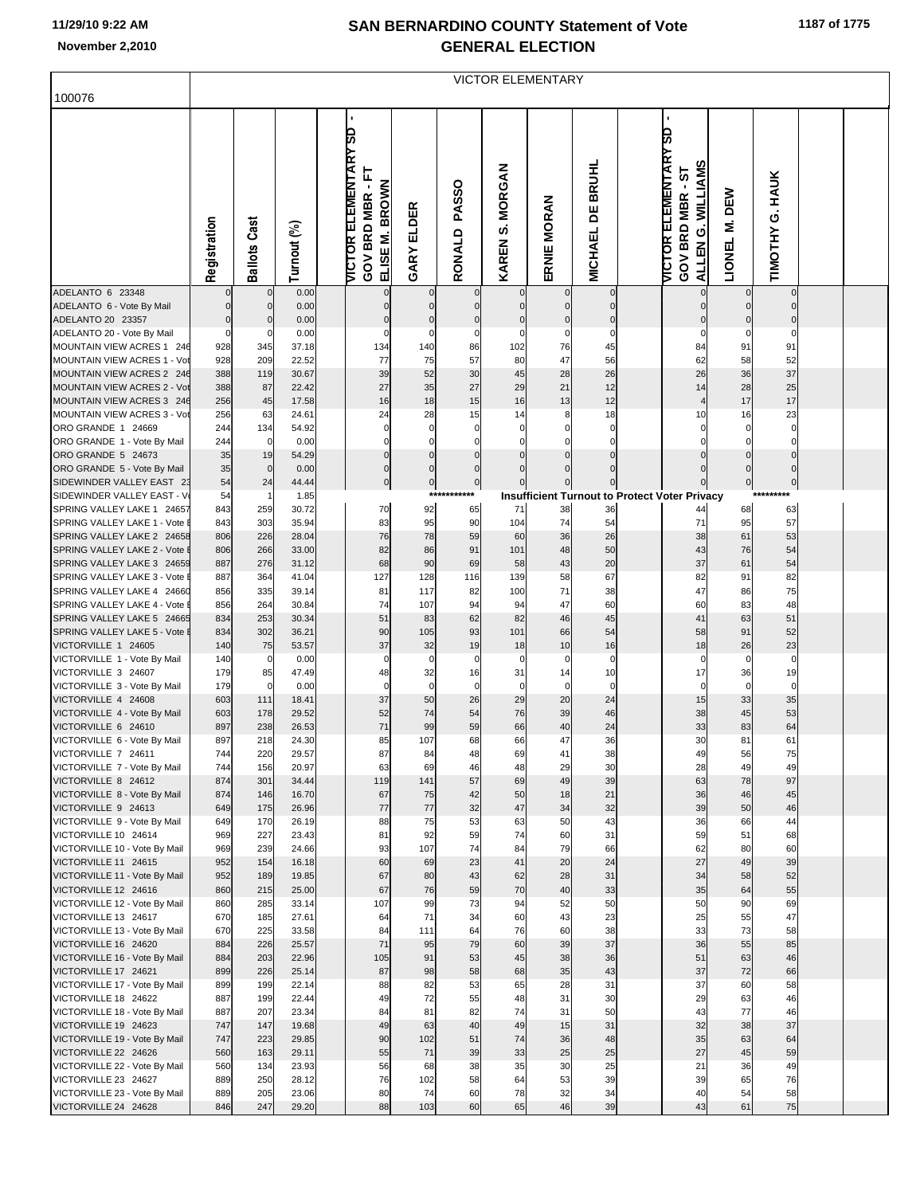|                                                           | <b>VICTOR ELEMENTARY</b> |                            |                |  |                                                                                     |                            |                            |                              |                                  |                         |  |                                                                                      |                    |                           |  |  |
|-----------------------------------------------------------|--------------------------|----------------------------|----------------|--|-------------------------------------------------------------------------------------|----------------------------|----------------------------|------------------------------|----------------------------------|-------------------------|--|--------------------------------------------------------------------------------------|--------------------|---------------------------|--|--|
| 100076                                                    |                          |                            |                |  |                                                                                     |                            |                            |                              |                                  |                         |  |                                                                                      |                    |                           |  |  |
|                                                           | Registration             | <b>Ballots Cast</b>        | Turnout (%)    |  | $\blacksquare$<br><b>VICTOR ELEMENTARY SD</b><br>GOV BRD MBR - FT<br>ELISE M. BROWN | <b>GARY ELDER</b>          | <b>PASSO</b><br>RONALD     | <b>MORGAN</b><br>()<br>KAREN | ERNIE MORAN                      | <b>MICHAEL DE BRUHL</b> |  | <b>VICTOR ELEMENTARY SD</b><br><b>WILLIAMS</b><br>5<br><b>GOV BRD MBR</b><br>ALLENG. | DEW<br>Σ<br>LIONEL | <b>HAUK</b><br>TIMOTHY G. |  |  |
| ADELANTO 6 23348                                          |                          | $\mathbf 0$                | 0.00           |  |                                                                                     | $\mathbf 0$                |                            | $\mathbf 0$                  | $\overline{0}$                   | $\mathbf 0$<br>$\Omega$ |  | $\overline{0}$                                                                       | 0                  | $\mathbf 0$               |  |  |
| ADELANTO 6 - Vote By Mail<br>ADELANTO 20 23357            | 0<br>$\mathbf{0}$        | $\mathbf 0$<br>$\mathbf 0$ | 0.00<br>0.00   |  | 0<br>$\mathbf{0}$                                                                   | $\mathbf 0$<br>$\mathbf 0$ | $\mathbf 0$<br>$\mathbf 0$ | $\mathbf 0$<br>$\mathbf 0$   | $\overline{0}$<br>$\overline{0}$ | $\mathbf 0$             |  | 0<br>0                                                                               | 0<br>$\mathbf 0$   | $\mathbf 0$<br>0          |  |  |
| ADELANTO 20 - Vote By Mail                                | $\mathbf 0$              | $\mathbf 0$                | 0.00           |  | C                                                                                   | $\pmb{0}$                  | $\pmb{0}$                  | 0                            | $\mathbf 0$                      | 0                       |  | 0                                                                                    | 0                  | 0                         |  |  |
| MOUNTAIN VIEW ACRES 1 246                                 | 928                      | 345                        | 37.18          |  | 134                                                                                 | 140                        | 86                         | 102                          | 76                               | 45                      |  | 84                                                                                   | 91                 | 91                        |  |  |
| MOUNTAIN VIEW ACRES 1 - Vot<br>MOUNTAIN VIEW ACRES 2 246  | 928<br>388               | 209<br>119                 | 22.52<br>30.67 |  | 77<br>39                                                                            | 75<br>52                   | 57<br>30                   | 80<br>45                     | 47<br>28                         | 56<br>26                |  | 62<br>26                                                                             | 58<br>36           | 52<br>37                  |  |  |
| MOUNTAIN VIEW ACRES 2 - Vot                               | 388                      | 87                         | 22.42          |  | 27                                                                                  | 35                         | 27                         | 29                           | 21                               | 12                      |  | 14                                                                                   | 28                 | 25                        |  |  |
| MOUNTAIN VIEW ACRES 3 246                                 | 256                      | 45                         | 17.58          |  | 16                                                                                  | 18                         | 15                         | 16                           | 13                               | 12                      |  | $\overline{4}$                                                                       | 17                 | 17                        |  |  |
| MOUNTAIN VIEW ACRES 3 - Vot                               | 256                      | 63                         | 24.61          |  | 24                                                                                  | 28                         | 15                         | 14                           | 8                                | 18                      |  | 10                                                                                   | 16                 | 23                        |  |  |
| ORO GRANDE 1 24669                                        | 244                      | 134                        | 54.92          |  | $\mathbf 0$                                                                         | $\mathbf 0$                | $\mathbf 0$                | 0                            | $\mathbf 0$                      | $\mathbf 0$             |  | 0                                                                                    | 0                  | 0                         |  |  |
| ORO GRANDE 1 - Vote By Mail<br>ORO GRANDE 5 24673         | 244<br>35                | $\mathbf 0$<br>19          | 0.00<br>54.29  |  | 0<br>$\mathbf 0$                                                                    | 0<br>$\mathbf 0$           | 0<br>0                     | 0                            | 0<br>$\mathbf 0$                 | 0<br>$\Omega$           |  | 0<br>$\mathbf 0$                                                                     | 0<br>$\mathbf 0$   | 0<br>$\pmb{0}$            |  |  |
| ORO GRANDE 5 - Vote By Mail                               | 35                       | $\mathbf 0$                | 0.00           |  | $\mathbf 0$                                                                         | 0                          | $\mathbf 0$                | $\Omega$                     |                                  |                         |  | 0                                                                                    | 0                  | 0                         |  |  |
| SIDEWINDER VALLEY EAST 23                                 | 54                       | 24                         | 44.44          |  | $\pmb{0}$                                                                           | $\circ$                    | $\mathbf{0}$               |                              | $\overline{0}$                   | 0                       |  |                                                                                      | $\bf{0}$           | 0                         |  |  |
| SIDEWINDER VALLEY EAST - V                                | 54                       | -1                         | 1.85           |  |                                                                                     | ***                        | *******                    |                              |                                  |                         |  | <b>Insufficient Turnout to Protect Voter Privacy</b>                                 |                    |                           |  |  |
| SPRING VALLEY LAKE 1 24657                                | 843                      | 259                        | 30.72          |  | 70                                                                                  | 92                         | 65                         | 71                           | 38                               | 36                      |  | 44                                                                                   | 68                 | 63                        |  |  |
| SPRING VALLEY LAKE 1 - Vote<br>SPRING VALLEY LAKE 2 24658 | 843<br>806               | 303<br>226                 | 35.94<br>28.04 |  | 83<br>76                                                                            | 95<br>78                   | 90<br>59                   | 104<br>60                    | 74<br>36                         | 54<br>26                |  | 71<br>38                                                                             | 95<br>61           | 57<br>53                  |  |  |
| SPRING VALLEY LAKE 2 - Vote I                             | 806                      | 266                        | 33.00          |  | 82                                                                                  | 86                         | 91                         | 101                          | 48                               | 50                      |  | 43                                                                                   | 76                 | 54                        |  |  |
| SPRING VALLEY LAKE 3 24659                                | 887                      | 276                        | 31.12          |  | 68                                                                                  | 90                         | 69                         | 58                           | 43                               | 20                      |  | 37                                                                                   | 61                 | 54                        |  |  |
| SPRING VALLEY LAKE 3 - Vote                               | 887                      | 364                        | 41.04          |  | 127                                                                                 | 128                        | 116                        | 139                          | 58                               | 67                      |  | 82                                                                                   | 91                 | 82                        |  |  |
| SPRING VALLEY LAKE 4 24660                                | 856                      | 335                        | 39.14          |  | 81                                                                                  | 117                        | 82                         | 100                          | 71                               | 38                      |  | 47                                                                                   | 86                 | 75                        |  |  |
| SPRING VALLEY LAKE 4 - Vote<br>SPRING VALLEY LAKE 5 24665 | 856<br>834               | 264<br>253                 | 30.84<br>30.34 |  | 74<br>51                                                                            | 107<br>83                  | 94<br>62                   | 94<br>82                     | 47<br>46                         | 60<br>45                |  | 60<br>41                                                                             | 83<br>63           | 48<br>51                  |  |  |
| SPRING VALLEY LAKE 5 - Vote I                             | 834                      | 302                        | 36.21          |  | 90                                                                                  | 105                        | 93                         | 101                          | 66                               | 54                      |  | 58                                                                                   | 91                 | 52                        |  |  |
| VICTORVILLE 1 24605                                       | 140                      | 75                         | 53.57          |  | 37                                                                                  | 32                         | 19                         | 18                           | 10                               | 16                      |  | 18                                                                                   | 26                 | 23                        |  |  |
| VICTORVILLE 1 - Vote By Mail                              | 140                      | $\mathbf 0$                | 0.00           |  | C                                                                                   | 0                          | 0                          | 0                            | $\pmb{0}$                        | 0                       |  | 0                                                                                    | 0                  | $\pmb{0}$                 |  |  |
| VICTORVILLE 3 24607                                       | 179                      | 85                         | 47.49          |  | 48                                                                                  | 32                         | 16                         | 31                           | 14                               | 10                      |  | 17                                                                                   | 36                 | 19                        |  |  |
| VICTORVILLE 3 - Vote By Mail<br>VICTORVILLE 4 24608       | 179<br>603               | $\overline{0}$<br>111      | 0.00<br>18.41  |  | $\mathbf 0$<br>37                                                                   | $\mathbf 0$<br>50          | $\mathbf 0$<br>26          | 0<br>29                      | $\overline{0}$<br>20             | $\mathbf 0$<br>24       |  | $\circ$<br>15                                                                        | $\mathbf 0$<br>33  | $\mathbf 0$<br>35         |  |  |
| VICTORVILLE 4 - Vote By Mail                              | 603                      | 178                        | 29.52          |  | 52                                                                                  | 74                         | 54                         | 76                           | 39                               | 46                      |  | 38                                                                                   | 45                 | 53                        |  |  |
| VICTORVILLE 6 24610                                       | 897                      | 238                        | 26.53          |  | 71                                                                                  | 99                         | 59                         | 66                           | 40                               | 24                      |  | 33                                                                                   | 83                 | 64                        |  |  |
| VICTORVILLE 6 - Vote By Mail                              | 897                      | 218                        | 24.30          |  | 85                                                                                  | 107                        | 68                         | 66                           | 47                               | 36                      |  | 30                                                                                   | 81                 | 61                        |  |  |
| VICTORVILLE 7 24611<br>VICTORVILLE 7 - Vote By Mail       | 744<br>744               | 220<br>156                 | 29.57<br>20.97 |  | 87<br>63                                                                            | 84<br>69                   | 48<br>46                   | 69<br>48                     | 41<br>29                         | 38<br>30                |  | 49<br>28                                                                             | 56<br>49           | 75<br>49                  |  |  |
| VICTORVILLE 8 24612                                       | 874                      | 301                        | 34.44          |  | 119                                                                                 | 141                        | 57                         | 69                           | 49                               | 39                      |  | 63                                                                                   | 78                 | 97                        |  |  |
| VICTORVILLE 8 - Vote By Mail                              | 874                      | 146                        | 16.70          |  | 67                                                                                  | 75                         | 42                         | 50                           | 18                               | 21                      |  | 36                                                                                   | 46                 | 45                        |  |  |
| VICTORVILLE 9 24613                                       | 649                      | 175                        | 26.96          |  | 77                                                                                  | 77                         | 32                         | 47                           | 34                               | 32                      |  | 39                                                                                   | 50                 | 46                        |  |  |
| VICTORVILLE 9 - Vote By Mail                              | 649                      | 170                        | 26.19          |  | 88                                                                                  | 75                         | 53                         | 63                           | 50                               | 43                      |  | 36                                                                                   | 66                 | 44                        |  |  |
| VICTORVILLE 10 24614<br>VICTORVILLE 10 - Vote By Mail     | 969<br>969               | 227<br>239                 | 23.43<br>24.66 |  | 81<br>93                                                                            | 92<br>107                  | 59<br>74                   | 74<br>84                     | 60<br>79                         | 31<br>66                |  | 59<br>62                                                                             | 51<br>80           | 68<br>60                  |  |  |
| VICTORVILLE 11 24615                                      | 952                      | 154                        | 16.18          |  | 60                                                                                  | 69                         | 23                         | 41                           | 20                               | 24                      |  | 27                                                                                   | 49                 | 39                        |  |  |
| VICTORVILLE 11 - Vote By Mail                             | 952                      | 189                        | 19.85          |  | 67                                                                                  | 80                         | 43                         | 62                           | 28                               | 31                      |  | 34                                                                                   | 58                 | 52                        |  |  |
| VICTORVILLE 12 24616                                      | 860                      | 215                        | 25.00          |  | 67                                                                                  | 76                         | 59                         | 70                           | 40                               | 33                      |  | 35                                                                                   | 64                 | 55                        |  |  |
| VICTORVILLE 12 - Vote By Mail<br>VICTORVILLE 13 24617     | 860<br>670               | 285<br>185                 | 33.14<br>27.61 |  | 107<br>64                                                                           | 99<br>71                   | 73<br>34                   | 94<br>60                     | 52<br>43                         | 50<br>23                |  | 50<br>25                                                                             | 90<br>55           | 69<br>47                  |  |  |
| VICTORVILLE 13 - Vote By Mail                             | 670                      | 225                        | 33.58          |  | 84                                                                                  | 111                        | 64                         | 76                           | 60                               | 38                      |  | 33                                                                                   | 73                 | 58                        |  |  |
| VICTORVILLE 16 24620                                      | 884                      | 226                        | 25.57          |  | 71                                                                                  | 95                         | 79                         | 60                           | 39                               | 37                      |  | 36                                                                                   | 55                 | 85                        |  |  |
| VICTORVILLE 16 - Vote By Mail                             | 884                      | 203                        | 22.96          |  | 105                                                                                 | 91                         | 53                         | 45                           | 38                               | 36                      |  | 51                                                                                   | 63                 | 46                        |  |  |
| VICTORVILLE 17 24621                                      | 899                      | 226                        | 25.14          |  | 87                                                                                  | 98                         | 58                         | 68                           | 35                               | 43                      |  | 37                                                                                   | 72                 | 66                        |  |  |
| VICTORVILLE 17 - Vote By Mail<br>VICTORVILLE 18 24622     | 899<br>887               | 199<br>199                 | 22.14<br>22.44 |  | 88<br>49                                                                            | 82<br>72                   | 53<br>55                   | 65<br>48                     | 28<br>31                         | 31<br>30                |  | 37<br>29                                                                             | 60<br>63           | 58<br>46                  |  |  |
| VICTORVILLE 18 - Vote By Mail                             | 887                      | 207                        | 23.34          |  | 84                                                                                  | 81                         | 82                         | 74                           | 31                               | 50                      |  | 43                                                                                   | 77                 | 46                        |  |  |
| VICTORVILLE 19 24623                                      | 747                      | 147                        | 19.68          |  | 49                                                                                  | 63                         | 40                         | 49                           | 15                               | 31                      |  | 32                                                                                   | 38                 | 37                        |  |  |
| VICTORVILLE 19 - Vote By Mail                             | 747                      | 223                        | 29.85          |  | 90                                                                                  | 102                        | 51                         | 74                           | 36                               | 48                      |  | 35                                                                                   | 63                 | 64                        |  |  |
| VICTORVILLE 22 24626                                      | 560                      | 163                        | 29.11          |  | 55                                                                                  | 71                         | 39                         | 33                           | 25                               | 25                      |  | 27                                                                                   | 45                 | 59                        |  |  |
| VICTORVILLE 22 - Vote By Mail<br>VICTORVILLE 23 24627     | 560<br>889               | 134<br>250                 | 23.93<br>28.12 |  | 56<br>76                                                                            | 68<br>102                  | 38<br>58                   | 35<br>64                     | 30<br>53                         | 25<br>39                |  | 21<br>39                                                                             | 36<br>65           | 49<br>76                  |  |  |
| VICTORVILLE 23 - Vote By Mail                             | 889                      | 205                        | 23.06          |  | 80                                                                                  | 74                         | 60                         | 78                           | 32                               | 34                      |  | 40                                                                                   | 54                 | 58                        |  |  |
| VICTORVILLE 24 24628                                      | 846                      | 247                        | 29.20          |  | 88                                                                                  | 103                        | 60                         | 65                           | 46                               | 39                      |  | 43                                                                                   | 61                 | 75                        |  |  |